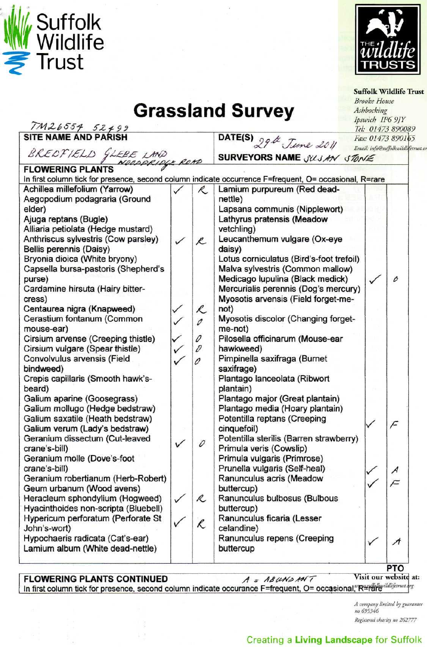



| <b>Grassland Survey</b>                                                                                |  |              |                                              |                   | <b>Suffolk Wildlife Trust</b><br><b>Brooke House</b><br>Ashbocking<br>Ipswich IP6 9JY |  |
|--------------------------------------------------------------------------------------------------------|--|--------------|----------------------------------------------|-------------------|---------------------------------------------------------------------------------------|--|
| $\frac{7ML6554}{SITE NAME AND PARISH}$                                                                 |  |              |                                              | Tel: 01473 890089 |                                                                                       |  |
|                                                                                                        |  |              | DATE(S) 29th June 2011                       |                   | Fax: 01473 890165                                                                     |  |
|                                                                                                        |  |              |                                              |                   | Email: info@suffolkwildlifetrust.                                                     |  |
| BREDFIELD GLEBE LAND                                                                                   |  |              | SURVEYORS NAME JULJAN STONE                  |                   |                                                                                       |  |
| <b>FLOWERING PLANTS</b>                                                                                |  |              |                                              |                   |                                                                                       |  |
| In first column tick for presence, second column indicate occurrence F=frequent, O= occasional, R=rare |  |              |                                              |                   |                                                                                       |  |
| Achillea millefolium (Yarrow)                                                                          |  | R.           | Lamium purpureum (Red dead-                  |                   |                                                                                       |  |
| Aegopodium podagraria (Ground                                                                          |  |              | nettle)                                      |                   |                                                                                       |  |
| elder)                                                                                                 |  |              | Lapsana communis (Nipplewort)                |                   |                                                                                       |  |
| Ajuga reptans (Bugle)                                                                                  |  |              | Lathyrus pratensis (Meadow                   |                   |                                                                                       |  |
| Alliaria petiolata (Hedge mustard)<br>Anthriscus sylvestris (Cow parsley)                              |  |              | vetchling)<br>Leucanthemum vulgare (Ox-eye   |                   |                                                                                       |  |
| Bellis perennis (Daisy)                                                                                |  | R            | daisy)                                       |                   |                                                                                       |  |
| Bryonia dioica (White bryony)                                                                          |  |              | Lotus corniculatus (Bird's-foot trefoil)     |                   |                                                                                       |  |
| Capsella bursa-pastoris (Shepherd's                                                                    |  |              | Malva sylvestris (Common mallow)             |                   |                                                                                       |  |
| purse)                                                                                                 |  |              | Medicago lupulina (Black medick)             |                   | Ô                                                                                     |  |
| Cardamine hirsuta (Hairy bitter-                                                                       |  |              | Mercurialis perennis (Dog's mercury)         |                   |                                                                                       |  |
| cress)                                                                                                 |  |              | Myosotis arvensis (Field forget-me-          |                   |                                                                                       |  |
| Centaurea nigra (Knapweed)                                                                             |  | R.           | not)                                         |                   |                                                                                       |  |
| Cerastium fontanum (Common                                                                             |  | 0            | Myosotis discolor (Changing forget-          |                   |                                                                                       |  |
| mouse-ear)                                                                                             |  |              | me-not)                                      |                   |                                                                                       |  |
| Cirsium arvense (Creeping thistle)                                                                     |  | 0            | Pilosella officinarum (Mouse-ear             |                   |                                                                                       |  |
| Cirsium vulgare (Spear thistle)                                                                        |  | $\mathcal D$ | hawkweed)                                    |                   |                                                                                       |  |
| Convolvulus arvensis (Field                                                                            |  |              | Pimpinella saxifraga (Burnet                 |                   |                                                                                       |  |
| bindweed)                                                                                              |  |              | saxifrage)                                   |                   |                                                                                       |  |
| Crepis capillaris (Smooth hawk's-                                                                      |  |              | Plantago lanceolata (Ribwort                 |                   |                                                                                       |  |
| beard)                                                                                                 |  |              | plantain)<br>Plantago major (Great plantain) |                   |                                                                                       |  |
| Galium aparine (Goosegrass)<br>Galium mollugo (Hedge bedstraw)                                         |  |              | Plantago media (Hoary plantain)              |                   |                                                                                       |  |
| Galium saxatile (Heath bedstraw)                                                                       |  |              | Potentilla reptans (Creeping                 |                   |                                                                                       |  |
| Galium verum (Lady's bedstraw)                                                                         |  |              | cinquefoil)                                  |                   | F                                                                                     |  |
| Geranium dissectum (Cut-leaved                                                                         |  |              | Potentilla sterilis (Barren strawberry)      |                   |                                                                                       |  |
| crane's-bill)                                                                                          |  | 0            | Primula veris (Cowslip)                      |                   |                                                                                       |  |
| Geranium molle (Dove's-foot                                                                            |  |              | Primula vulgaris (Primrose)                  |                   |                                                                                       |  |
| crane's-bill)                                                                                          |  |              | Prunella vulgaris (Self-heal)                |                   | $\mathcal{A}$                                                                         |  |
| Geranium robertianum (Herb-Robert)                                                                     |  |              | Ranunculus acris (Meadow                     |                   | $\subset$                                                                             |  |
| Geum urbanum (Wood avens)                                                                              |  |              | buttercup)                                   |                   |                                                                                       |  |
| Heracleum sphondylium (Hogweed)                                                                        |  | R            | Ranunculus bulbosus (Bulbous                 |                   |                                                                                       |  |
| Hyacinthoides non-scripta (Bluebell)                                                                   |  |              | buttercup)                                   |                   |                                                                                       |  |
| Hypericum perforatum (Perforate St                                                                     |  | K            | Ranunculus ficaria (Lesser                   |                   |                                                                                       |  |
| John's-wort)                                                                                           |  |              | celandine)                                   |                   |                                                                                       |  |
| Hypochaeris radicata (Cat's-ear)<br>Lamium album (White dead-nettle)                                   |  |              | Ranunculus repens (Creeping<br>buttercup     |                   | А                                                                                     |  |
|                                                                                                        |  |              |                                              |                   | <b>PTO</b>                                                                            |  |

## **FLOWERING PLANTS CONTINUED**  $A = AB \, \mu \nu \rho \, \mu \nu \tau$

**Visit our website at:** 

In first column tick for presence, second column indicate occurance F=frequent, O= occasional, "R=rarevidliferrust

*A company limited by guarantee no 695346 Registered charity no 262777*

## Creating a **Living Landscape** for Suffolk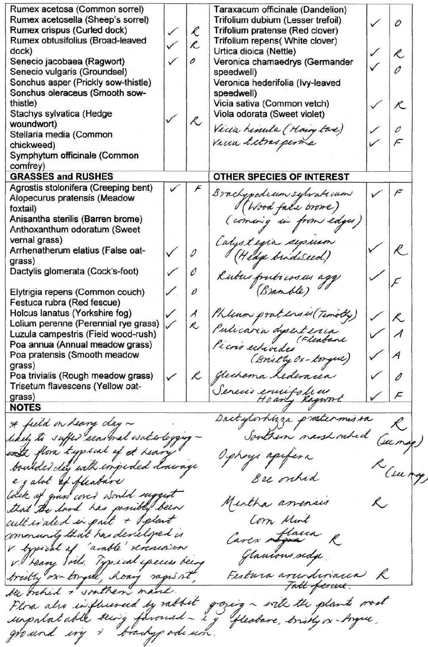Rumex acetosa (Common sorrel) Taraxacum officinale (Dandelion) Rumex acetosella (Sheep's sorrel) Trifolium dubium (Lesser trefoil) o Rumex crispus (Curled dock)  $\ell$ Trifolium pratense (Red clover) Rumex obtusifolius (Broad-leaved Trifolium repens( White clover)  $\mathcal{R}$ dock) Urtica dioica (Nettle) Ŕ,  $\mathcal{O}$ Senecio jacobaea (Ragwort) Veronica chamaedrys (Germander  $\mathcal{O}$ Senecio vulgaris (Groundsel) speedwell) Sonchus asper (Prickly sow-thistle) Veronica hederifolia (Ivy-leaved Sonchus oleraceus (Smooth sowspeedwell) thistle) Vicia sativa (Common vetch)  $\overline{\mathcal{K}}$ Stachys sylvatica (Hedge Viola odorata (Sweet violet)  $\mathcal{R}$ woundwort) Vicia himuta (Hoing tare)<br>Vicia *Litros perma* 0 Stellaria media (Common  $\subset$ chickweed) Symphytum officinale (Common comfrey) **GRASSES and RUSHES OTHER SPECIES OF INTEREST** Agrostis stolonifera (Creeping bent) F  $\sqrt{2}$ Brachypodium subraticum Alopecurus pratensis (Meadow (Wood face orome) foxtail) (coming in from edges) Anisantha sterilis (Barren brome) Anthoxanthum odoratum (Sweet vernal grass) Calustina sepsum  $\ell$  . Arrhenatherum elatius (False oatv/  $\mathcal O$ (Hedge birdweed) grass) Dactylis glomerata (Cock's-foot) 0 Rubus fruti cosus agg f (Branble)  $\mathcal{O}$ Eiytrigia repens (Common couch) Festuca rubra (Red fescue) Phleum praters M (Timoth)  $\checkmark$ Holcus lanatus (Yorkshire fog) *A*  $\cal R$  $\checkmark$ Lolium perenne (Perennial rye grass) R Pulicaria dysenteria Luzula campestris (Field wood-rush) Picris echiodes (Fleabane Poa annua (Annual meadow grass) *A* Poa pratensis (Smooth meadow (Bristly Ox-torque) grass) glichoma Lederacia Poa trivialis (Rough meadow grass)  $\mathcal{L}% _{G}=\mathcal{L}_{G}$ D Trisetum flavescens (Yellow oat-Senecio envirolieu  $\sqrt{2}$ grass) \_\_\_ **NOTES** Dactylorhizza proetermissa A field on heavy clay ~ Southern nash rched likely to suffer searnal waterlogging Gung with flora typical of at hear Ophoys apifera boulder day with inpeded drawnge 'Cut egalot of fleabare Bee ontrid Mertha america that the land has possibly been cultivated in put + Splant Com Mint Carex Aflacca community that has developed is V. Sypical of "arable" reneason Glancons sida.<br>Festura arrendiviación R V. Heary Soil. Typical species been bristly or torgue, hong rages it Tall firme. bee briked + southern mand the the plants most Plora also influenced by rabbit unpatatable seen's faround - i ground ing & bracky ode um.